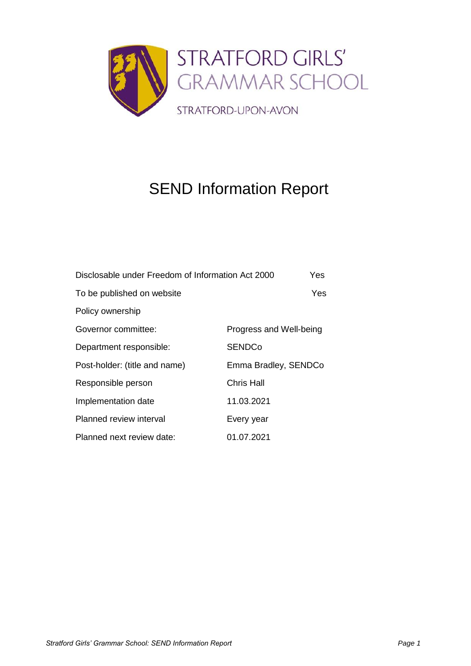

# SEND Information Report

| Disclosable under Freedom of Information Act 2000 | Yes                     |
|---------------------------------------------------|-------------------------|
| To be published on website                        | Yes.                    |
| Policy ownership                                  |                         |
| Governor committee:                               | Progress and Well-being |
| Department responsible:                           | <b>SENDCo</b>           |
| Post-holder: (title and name)                     | Emma Bradley, SENDCo    |
| Responsible person                                | Chris Hall              |
| Implementation date                               | 11.03.2021              |
| Planned review interval                           | Every year              |
| Planned next review date:                         | 01.07.2021              |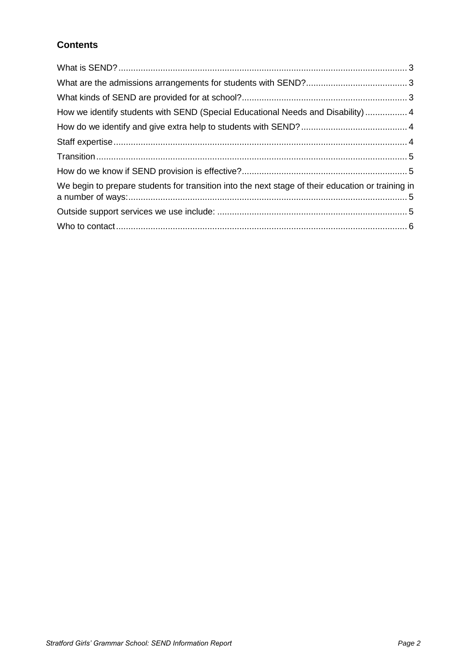## **Contents**

| How we identify students with SEND (Special Educational Needs and Disability) 4                   |  |
|---------------------------------------------------------------------------------------------------|--|
|                                                                                                   |  |
|                                                                                                   |  |
|                                                                                                   |  |
|                                                                                                   |  |
| We begin to prepare students for transition into the next stage of their education or training in |  |
|                                                                                                   |  |
|                                                                                                   |  |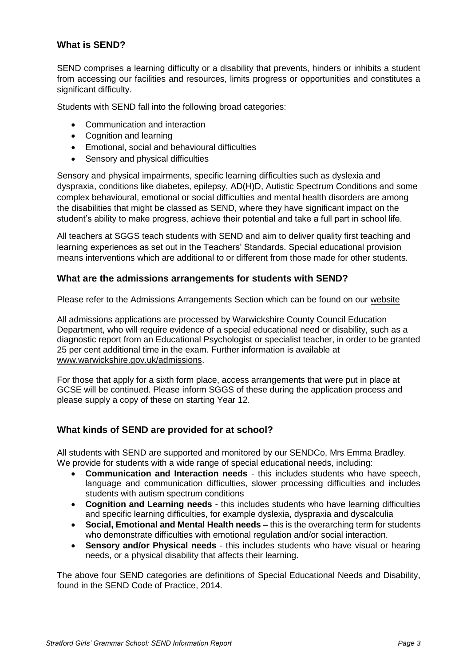## <span id="page-2-0"></span>**What is SEND?**

SEND comprises a learning difficulty or a disability that prevents, hinders or inhibits a student from accessing our facilities and resources, limits progress or opportunities and constitutes a significant difficulty.

Students with SEND fall into the following broad categories:

- Communication and interaction
- Cognition and learning
- Emotional, social and behavioural difficulties
- Sensory and physical difficulties

Sensory and physical impairments, specific learning difficulties such as dyslexia and dyspraxia, conditions like diabetes, epilepsy, AD(H)D, Autistic Spectrum Conditions and some complex behavioural, emotional or social difficulties and mental health disorders are among the disabilities that might be classed as SEND, where they have significant impact on the student's ability to make progress, achieve their potential and take a full part in school life.

All teachers at SGGS teach students with SEND and aim to deliver quality first teaching and learning experiences as set out in the Teachers' Standards. Special educational provision means interventions which are additional to or different from those made for other students.

#### <span id="page-2-1"></span>**What are the admissions arrangements for students with SEND?**

Please refer to the Admissions Arrangements Section which can be found on our [website](https://www.sggs.org.uk/page/?title=Admissions&pid=28)

All admissions applications are processed by Warwickshire County Council Education Department, who will require evidence of a special educational need or disability, such as a diagnostic report from an Educational Psychologist or specialist teacher, in order to be granted 25 per cent additional time in the exam. Further information is available at [www.warwickshire.gov.uk/admissions.](http://www.warwickshire.gov.uk/admissions)

For those that apply for a sixth form place, access arrangements that were put in place at GCSE will be continued. Please inform SGGS of these during the application process and please supply a copy of these on starting Year 12.

#### <span id="page-2-2"></span>**What kinds of SEND are provided for at school?**

All students with SEND are supported and monitored by our SENDCo, Mrs Emma Bradley. We provide for students with a wide range of special educational needs, including:

- **Communication and Interaction needs** this includes students who have speech, language and communication difficulties, slower processing difficulties and includes students with autism spectrum conditions
- **Cognition and Learning needs** this includes students who have learning difficulties and specific learning difficulties, for example dyslexia, dyspraxia and dyscalculia
- **Social, Emotional and Mental Health needs –** this is the overarching term for students who demonstrate difficulties with emotional regulation and/or social interaction.
- **Sensory and/or Physical needs** this includes students who have visual or hearing needs, or a physical disability that affects their learning.

The above four SEND categories are definitions of Special Educational Needs and Disability, found in the SEND Code of Practice, 2014.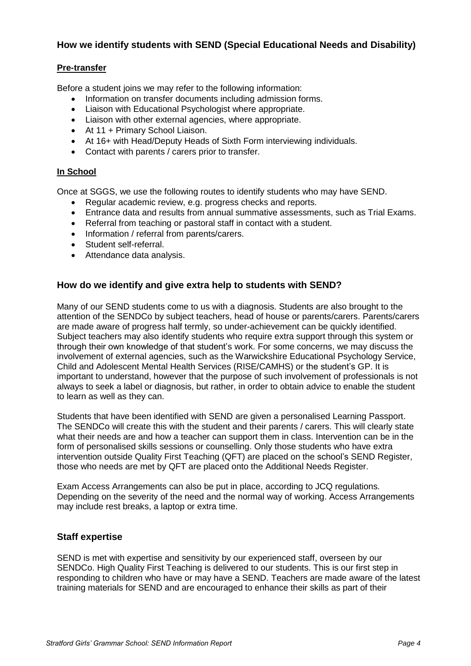## <span id="page-3-0"></span>**How we identify students with SEND (Special Educational Needs and Disability)**

#### **Pre-transfer**

Before a student joins we may refer to the following information:

- Information on transfer documents including admission forms.
- Liaison with Educational Psychologist where appropriate.
- Liaison with other external agencies, where appropriate.
- At 11 + Primary School Liaison.
- At 16+ with Head/Deputy Heads of Sixth Form interviewing individuals.
- Contact with parents / carers prior to transfer.

#### **In School**

Once at SGGS, we use the following routes to identify students who may have SEND.

- Regular academic review, e.g. progress checks and reports.
- Entrance data and results from annual summative assessments, such as Trial Exams.
- Referral from teaching or pastoral staff in contact with a student.
- Information / referral from parents/carers.
- Student self-referral.
- Attendance data analysis.

#### <span id="page-3-1"></span>**How do we identify and give extra help to students with SEND?**

Many of our SEND students come to us with a diagnosis. Students are also brought to the attention of the SENDCo by subject teachers, head of house or parents/carers. Parents/carers are made aware of progress half termly, so under-achievement can be quickly identified. Subject teachers may also identify students who require extra support through this system or through their own knowledge of that student's work. For some concerns, we may discuss the involvement of external agencies, such as the Warwickshire Educational Psychology Service, Child and Adolescent Mental Health Services (RISE/CAMHS) or the student's GP. It is important to understand, however that the purpose of such involvement of professionals is not always to seek a label or diagnosis, but rather, in order to obtain advice to enable the student to learn as well as they can.

Students that have been identified with SEND are given a personalised Learning Passport. The SENDCo will create this with the student and their parents / carers. This will clearly state what their needs are and how a teacher can support them in class. Intervention can be in the form of personalised skills sessions or counselling. Only those students who have extra intervention outside Quality First Teaching (QFT) are placed on the school's SEND Register, those who needs are met by QFT are placed onto the Additional Needs Register.

Exam Access Arrangements can also be put in place, according to JCQ regulations. Depending on the severity of the need and the normal way of working. Access Arrangements may include rest breaks, a laptop or extra time.

#### <span id="page-3-2"></span>**Staff expertise**

SEND is met with expertise and sensitivity by our experienced staff, overseen by our SENDCo. High Quality First Teaching is delivered to our students. This is our first step in responding to children who have or may have a SEND. Teachers are made aware of the latest training materials for SEND and are encouraged to enhance their skills as part of their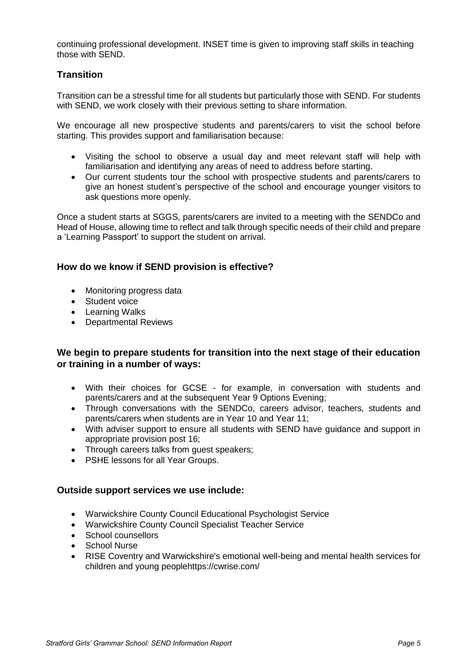continuing professional development. INSET time is given to improving staff skills in teaching those with SEND.

#### <span id="page-4-0"></span>**Transition**

Transition can be a stressful time for all students but particularly those with SEND. For students with SEND, we work closely with their previous setting to share information.

We encourage all new prospective students and parents/carers to visit the school before starting. This provides support and familiarisation because:

- Visiting the school to observe a usual day and meet relevant staff will help with familiarisation and identifying any areas of need to address before starting.
- Our current students tour the school with prospective students and parents/carers to give an honest student's perspective of the school and encourage younger visitors to ask questions more openly.

Once a student starts at SGGS, parents/carers are invited to a meeting with the SENDCo and Head of House, allowing time to reflect and talk through specific needs of their child and prepare a 'Learning Passport' to support the student on arrival.

#### <span id="page-4-1"></span>**How do we know if SEND provision is effective?**

- Monitoring progress data
- Student voice
- Learning Walks
- Departmental Reviews

#### <span id="page-4-2"></span>**We begin to prepare students for transition into the next stage of their education or training in a number of ways:**

- With their choices for GCSE for example, in conversation with students and parents/carers and at the subsequent Year 9 Options Evening;
- Through conversations with the SENDCo, careers advisor, teachers, students and parents/carers when students are in Year 10 and Year 11;
- With adviser support to ensure all students with SEND have guidance and support in appropriate provision post 16;
- Through careers talks from quest speakers:
- PSHE lessons for all Year Groups.

#### <span id="page-4-3"></span>**Outside support services we use include:**

- Warwickshire County Council Educational Psychologist Service
- Warwickshire County Council Specialist Teacher Service
- School counsellors
- School Nurse
- RISE Coventry and Warwickshire's emotional well-being and mental health services for children and young peoplehttps://cwrise.com/